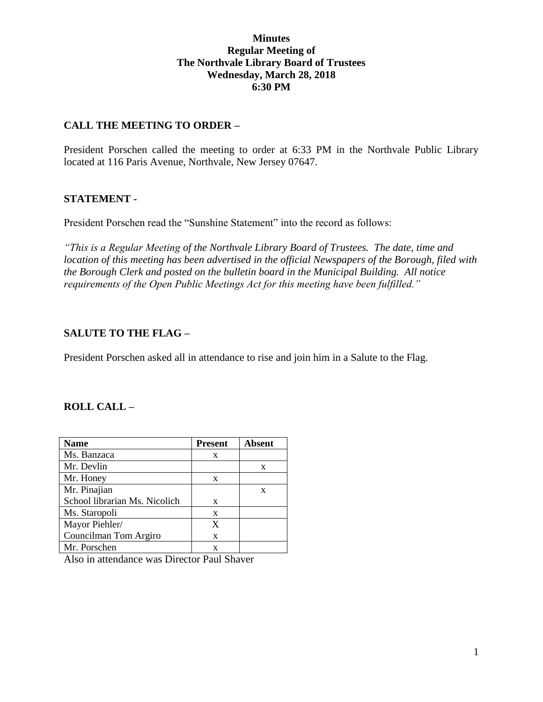### **Minutes Regular Meeting of The Northvale Library Board of Trustees Wednesday, March 28, 2018 6:30 PM**

### **CALL THE MEETING TO ORDER –**

President Porschen called the meeting to order at 6:33 PM in the Northvale Public Library located at 116 Paris Avenue, Northvale, New Jersey 07647.

### **STATEMENT -**

President Porschen read the "Sunshine Statement" into the record as follows:

*"This is a Regular Meeting of the Northvale Library Board of Trustees. The date, time and location of this meeting has been advertised in the official Newspapers of the Borough, filed with the Borough Clerk and posted on the bulletin board in the Municipal Building. All notice requirements of the Open Public Meetings Act for this meeting have been fulfilled."* 

## **SALUTE TO THE FLAG –**

President Porschen asked all in attendance to rise and join him in a Salute to the Flag.

#### **ROLL CALL –**

| <b>Name</b>                   | <b>Present</b> | <b>Absent</b> |
|-------------------------------|----------------|---------------|
| Ms. Banzaca                   | X              |               |
| Mr. Devlin                    |                | X             |
| Mr. Honey                     | X              |               |
| Mr. Pinajian                  |                | X             |
| School librarian Ms. Nicolich | X              |               |
| Ms. Staropoli                 | X              |               |
| Mayor Piehler/                | X              |               |
| Councilman Tom Argiro         | X              |               |
| Mr. Porschen                  | x              |               |

Also in attendance was Director Paul Shaver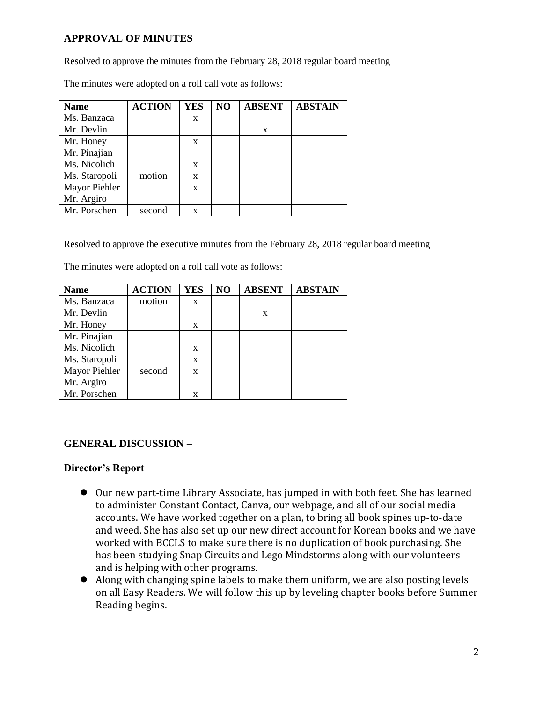## **APPROVAL OF MINUTES**

Resolved to approve the minutes from the February 28, 2018 regular board meeting

The minutes were adopted on a roll call vote as follows:

| <b>Name</b>   | <b>ACTION</b> | <b>YES</b> | NO | <b>ABSENT</b> | <b>ABSTAIN</b> |
|---------------|---------------|------------|----|---------------|----------------|
| Ms. Banzaca   |               | X          |    |               |                |
| Mr. Devlin    |               |            |    | X             |                |
| Mr. Honey     |               | X          |    |               |                |
| Mr. Pinajian  |               |            |    |               |                |
| Ms. Nicolich  |               | X          |    |               |                |
| Ms. Staropoli | motion        | X          |    |               |                |
| Mayor Piehler |               | X          |    |               |                |
| Mr. Argiro    |               |            |    |               |                |
| Mr. Porschen  | second        | X          |    |               |                |

Resolved to approve the executive minutes from the February 28, 2018 regular board meeting

| The minutes were adopted on a roll call vote as follows: |  |
|----------------------------------------------------------|--|
|----------------------------------------------------------|--|

| <b>Name</b>   | <b>ACTION</b> | <b>YES</b> | NO | <b>ABSENT</b> | <b>ABSTAIN</b> |
|---------------|---------------|------------|----|---------------|----------------|
| Ms. Banzaca   | motion        | X          |    |               |                |
| Mr. Devlin    |               |            |    | X             |                |
| Mr. Honey     |               | X          |    |               |                |
| Mr. Pinajian  |               |            |    |               |                |
| Ms. Nicolich  |               | X          |    |               |                |
| Ms. Staropoli |               | X          |    |               |                |
| Mayor Piehler | second        | X          |    |               |                |
| Mr. Argiro    |               |            |    |               |                |
| Mr. Porschen  |               | X          |    |               |                |

# **GENERAL DISCUSSION –**

## **Director's Report**

- Our new part-time Library Associate, has jumped in with both feet. She has learned to administer Constant Contact, Canva, our webpage, and all of our social media accounts. We have worked together on a plan, to bring all book spines up-to-date and weed. She has also set up our new direct account for Korean books and we have worked with BCCLS to make sure there is no duplication of book purchasing. She has been studying Snap Circuits and Lego Mindstorms along with our volunteers and is helping with other programs.
- Along with changing spine labels to make them uniform, we are also posting levels on all Easy Readers. We will follow this up by leveling chapter books before Summer Reading begins.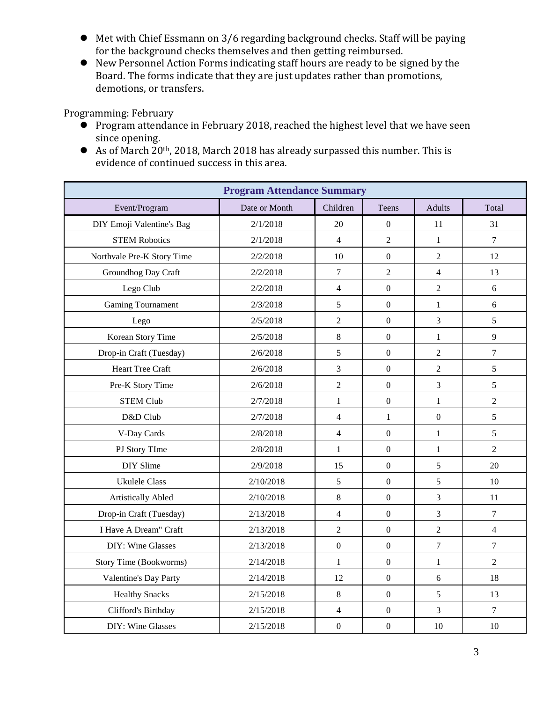- Met with Chief Essmann on 3/6 regarding background checks. Staff will be paying for the background checks themselves and then getting reimbursed.
- New Personnel Action Forms indicating staff hours are ready to be signed by the Board. The forms indicate that they are just updates rather than promotions, demotions, or transfers.

Programming: February

- $\bullet$  Program attendance in February 2018, reached the highest level that we have seen since opening.
- As of March 20th, 2018, March 2018 has already surpassed this number. This is evidence of continued success in this area.

| <b>Program Attendance Summary</b> |               |                          |                  |                |                  |  |  |  |
|-----------------------------------|---------------|--------------------------|------------------|----------------|------------------|--|--|--|
| Event/Program                     | Date or Month | Children                 | Teens            | <b>Adults</b>  | Total            |  |  |  |
| DIY Emoji Valentine's Bag         | 2/1/2018      | 20                       | $\boldsymbol{0}$ | 11             | 31               |  |  |  |
| <b>STEM Robotics</b>              | 2/1/2018      | $\overline{4}$           | $\overline{2}$   | $\mathbf{1}$   | $\overline{7}$   |  |  |  |
| Northvale Pre-K Story Time        | 2/2/2018      | 10                       | $\overline{0}$   | $\overline{2}$ | 12               |  |  |  |
| Groundhog Day Craft               | 2/2/2018      | $\boldsymbol{7}$         | $\overline{2}$   | $\overline{4}$ | 13               |  |  |  |
| Lego Club                         | 2/2/2018      | $\overline{4}$           | $\boldsymbol{0}$ | $\overline{2}$ | 6                |  |  |  |
| <b>Gaming Tournament</b>          | 2/3/2018      | 5                        | $\mathbf{0}$     | $\mathbf{1}$   | 6                |  |  |  |
| Lego                              | 2/5/2018      | $\overline{2}$           | $\mathbf{0}$     | 3              | 5                |  |  |  |
| Korean Story Time                 | 2/5/2018      | 8                        | $\mathbf{0}$     | $\mathbf{1}$   | 9                |  |  |  |
| Drop-in Craft (Tuesday)           | 2/6/2018      | 5                        | $\boldsymbol{0}$ | $\overline{2}$ | $\overline{7}$   |  |  |  |
| <b>Heart Tree Craft</b>           | 2/6/2018      | 3                        | $\overline{0}$   | $\overline{2}$ | 5                |  |  |  |
| Pre-K Story Time                  | 2/6/2018      | $\overline{2}$           | $\overline{0}$   | $\overline{3}$ | 5                |  |  |  |
| <b>STEM Club</b>                  | 2/7/2018      | $\mathbf{1}$             | $\mathbf{0}$     | $\mathbf{1}$   | $\overline{2}$   |  |  |  |
| D&D Club                          | 2/7/2018      | $\overline{\mathcal{L}}$ | $\mathbf{1}$     | $\overline{0}$ | 5                |  |  |  |
| V-Day Cards                       | 2/8/2018      | $\overline{4}$           | $\boldsymbol{0}$ | $\mathbf{1}$   | 5                |  |  |  |
| PJ Story TIme                     | 2/8/2018      | $\mathbf{1}$             | $\boldsymbol{0}$ | $\mathbf{1}$   | $\overline{2}$   |  |  |  |
| DIY Slime                         | 2/9/2018      | 15                       | $\overline{0}$   | 5              | 20               |  |  |  |
| <b>Ukulele Class</b>              | 2/10/2018     | 5                        | $\boldsymbol{0}$ | 5              | 10               |  |  |  |
| <b>Artistically Abled</b>         | 2/10/2018     | 8                        | $\boldsymbol{0}$ | $\overline{3}$ | 11               |  |  |  |
| Drop-in Craft (Tuesday)           | 2/13/2018     | $\overline{4}$           | $\boldsymbol{0}$ | $\mathfrak{Z}$ | $\boldsymbol{7}$ |  |  |  |
| I Have A Dream" Craft             | 2/13/2018     | $\overline{2}$           | $\overline{0}$   | $\overline{2}$ | $\overline{4}$   |  |  |  |
| DIY: Wine Glasses                 | 2/13/2018     | $\boldsymbol{0}$         | $\boldsymbol{0}$ | $\overline{7}$ | $\overline{7}$   |  |  |  |
| <b>Story Time (Bookworms)</b>     | 2/14/2018     | $\mathbf{1}$             | $\overline{0}$   | $\mathbf{1}$   | $\overline{2}$   |  |  |  |
| Valentine's Day Party             | 2/14/2018     | 12                       | $\overline{0}$   | 6              | 18               |  |  |  |
| <b>Healthy Snacks</b>             | 2/15/2018     | $8\,$                    | $\overline{0}$   | 5              | 13               |  |  |  |
| Clifford's Birthday               | 2/15/2018     | 4                        | $\boldsymbol{0}$ | $\overline{3}$ | $\overline{7}$   |  |  |  |
| DIY: Wine Glasses                 | 2/15/2018     | $\overline{0}$           | $\boldsymbol{0}$ | 10             | 10               |  |  |  |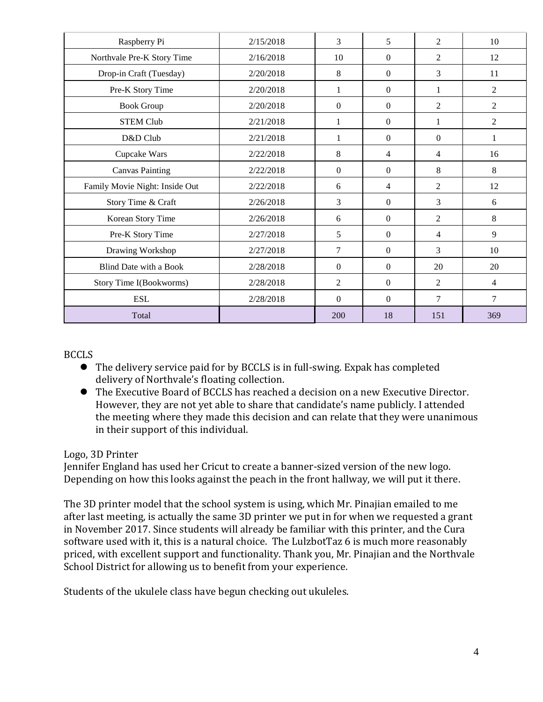| Raspberry Pi                   | 2/15/2018 | 3                | 5                | 2              | 10             |
|--------------------------------|-----------|------------------|------------------|----------------|----------------|
| Northvale Pre-K Story Time     | 2/16/2018 | 10               | $\mathbf{0}$     | 2              | 12             |
| Drop-in Craft (Tuesday)        | 2/20/2018 | 8                | $\mathbf{0}$     | 3              | 11             |
| Pre-K Story Time               | 2/20/2018 | $\mathbf{1}$     | $\boldsymbol{0}$ | 1              | $\overline{2}$ |
| <b>Book Group</b>              | 2/20/2018 | $\boldsymbol{0}$ | $\mathbf{0}$     | $\overline{c}$ | $\overline{2}$ |
| <b>STEM Club</b>               | 2/21/2018 | $\mathbf{1}$     | $\Omega$         | $\mathbf{1}$   | $\overline{2}$ |
| D&D Club                       | 2/21/2018 | 1                | $\Omega$         | $\theta$       | 1              |
| Cupcake Wars                   | 2/22/2018 | 8                | 4                | 4              | 16             |
| <b>Canvas Painting</b>         | 2/22/2018 | $\boldsymbol{0}$ | $\mathbf{0}$     | 8              | 8              |
| Family Movie Night: Inside Out | 2/22/2018 | 6                | 4                | $\overline{2}$ | 12             |
| Story Time & Craft             | 2/26/2018 | 3                | $\mathbf{0}$     | 3              | 6              |
| Korean Story Time              | 2/26/2018 | 6                | $\mathbf{0}$     | $\overline{2}$ | 8              |
| Pre-K Story Time               | 2/27/2018 | 5                | $\mathbf{0}$     | $\overline{4}$ | 9              |
| Drawing Workshop               | 2/27/2018 | 7                | $\mathbf{0}$     | 3              | 10             |
| Blind Date with a Book         | 2/28/2018 | $\boldsymbol{0}$ | $\mathbf{0}$     | 20             | 20             |
| Story Time I(Bookworms)        | 2/28/2018 | $\overline{2}$   | $\Omega$         | $\overline{2}$ | $\overline{4}$ |
| <b>ESL</b>                     | 2/28/2018 | $\boldsymbol{0}$ | $\mathbf{0}$     | $\overline{7}$ | $\overline{7}$ |
| Total                          |           | 200              | 18               | 151            | 369            |

BCCLS

- The delivery service paid for by BCCLS is in full-swing. Expak has completed delivery of Northvale's floating collection.
- The Executive Board of BCCLS has reached a decision on a new Executive Director. However, they are not yet able to share that candidate's name publicly. I attended the meeting where they made this decision and can relate that they were unanimous in their support of this individual.

# Logo, 3D Printer

Jennifer England has used her Cricut to create a banner-sized version of the new logo. Depending on how this looks against the peach in the front hallway, we will put it there.

The 3D printer model that the school system is using, which Mr. Pinajian emailed to me after last meeting, is actually the same 3D printer we put in for when we requested a grant in November 2017. Since students will already be familiar with this printer, and the Cura software used with it, this is a natural choice. The LulzbotTaz 6 is much more reasonably priced, with excellent support and functionality. Thank you, Mr. Pinajian and the Northvale School District for allowing us to benefit from your experience.

Students of the ukulele class have begun checking out ukuleles.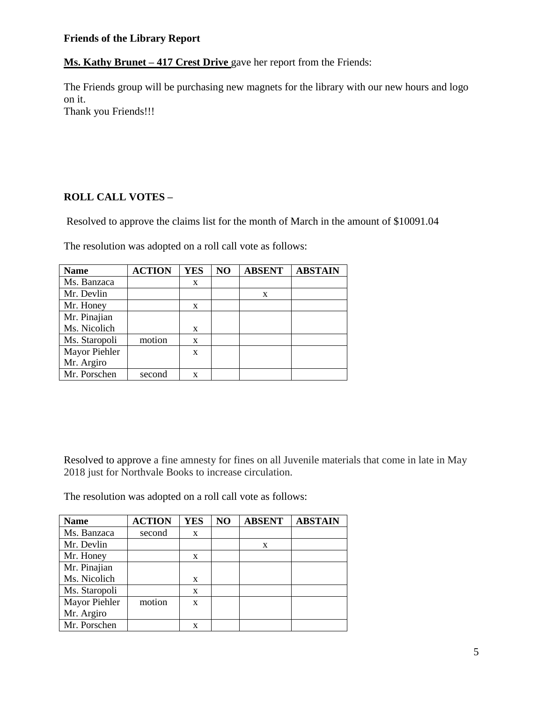### **Friends of the Library Report**

**Ms. Kathy Brunet – 417 Crest Drive** gave her report from the Friends:

The Friends group will be purchasing new magnets for the library with our new hours and logo on it. Thank you Friends!!!

**ROLL CALL VOTES –**

Resolved to approve the claims list for the month of March in the amount of \$10091.04

The resolution was adopted on a roll call vote as follows:

| <b>Name</b>   | <b>ACTION</b> | <b>YES</b> | NO | <b>ABSENT</b> | <b>ABSTAIN</b> |
|---------------|---------------|------------|----|---------------|----------------|
| Ms. Banzaca   |               | X          |    |               |                |
| Mr. Devlin    |               |            |    | X             |                |
| Mr. Honey     |               | X          |    |               |                |
| Mr. Pinajian  |               |            |    |               |                |
| Ms. Nicolich  |               | X          |    |               |                |
| Ms. Staropoli | motion        | X          |    |               |                |
| Mayor Piehler |               | X          |    |               |                |
| Mr. Argiro    |               |            |    |               |                |
| Mr. Porschen  | second        | X          |    |               |                |

Resolved to approve a fine amnesty for fines on all Juvenile materials that come in late in May 2018 just for Northvale Books to increase circulation.

The resolution was adopted on a roll call vote as follows:

| <b>Name</b>   | <b>ACTION</b> | <b>YES</b> | NO | <b>ABSENT</b> | <b>ABSTAIN</b> |
|---------------|---------------|------------|----|---------------|----------------|
| Ms. Banzaca   | second        | X          |    |               |                |
| Mr. Devlin    |               |            |    | X             |                |
| Mr. Honey     |               | X          |    |               |                |
| Mr. Pinajian  |               |            |    |               |                |
| Ms. Nicolich  |               | X          |    |               |                |
| Ms. Staropoli |               | X          |    |               |                |
| Mayor Piehler | motion        | X          |    |               |                |
| Mr. Argiro    |               |            |    |               |                |
| Mr. Porschen  |               | X          |    |               |                |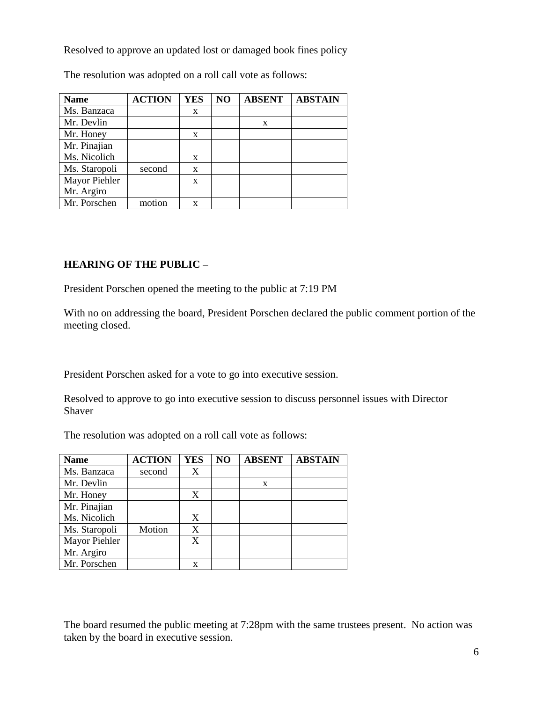Resolved to approve an updated lost or damaged book fines policy

The resolution was adopted on a roll call vote as follows:

| <b>Name</b>   | <b>ACTION</b> | <b>YES</b> | NO | <b>ABSENT</b> | <b>ABSTAIN</b> |
|---------------|---------------|------------|----|---------------|----------------|
| Ms. Banzaca   |               | X          |    |               |                |
| Mr. Devlin    |               |            |    | X             |                |
| Mr. Honey     |               | X          |    |               |                |
| Mr. Pinajian  |               |            |    |               |                |
| Ms. Nicolich  |               | X          |    |               |                |
| Ms. Staropoli | second        | X          |    |               |                |
| Mayor Piehler |               | X          |    |               |                |
| Mr. Argiro    |               |            |    |               |                |
| Mr. Porschen  | motion        | x          |    |               |                |

## **HEARING OF THE PUBLIC –**

President Porschen opened the meeting to the public at 7:19 PM

With no on addressing the board, President Porschen declared the public comment portion of the meeting closed.

President Porschen asked for a vote to go into executive session.

Resolved to approve to go into executive session to discuss personnel issues with Director Shaver

The resolution was adopted on a roll call vote as follows:

| <b>Name</b>   | <b>ACTION</b> | <b>YES</b> | NO | <b>ABSENT</b> | <b>ABSTAIN</b> |
|---------------|---------------|------------|----|---------------|----------------|
| Ms. Banzaca   | second        | X          |    |               |                |
| Mr. Devlin    |               |            |    | X             |                |
| Mr. Honey     |               | X          |    |               |                |
| Mr. Pinajian  |               |            |    |               |                |
| Ms. Nicolich  |               | X          |    |               |                |
| Ms. Staropoli | Motion        | X          |    |               |                |
| Mayor Piehler |               | X          |    |               |                |
| Mr. Argiro    |               |            |    |               |                |
| Mr. Porschen  |               | X          |    |               |                |

The board resumed the public meeting at 7:28pm with the same trustees present. No action was taken by the board in executive session.